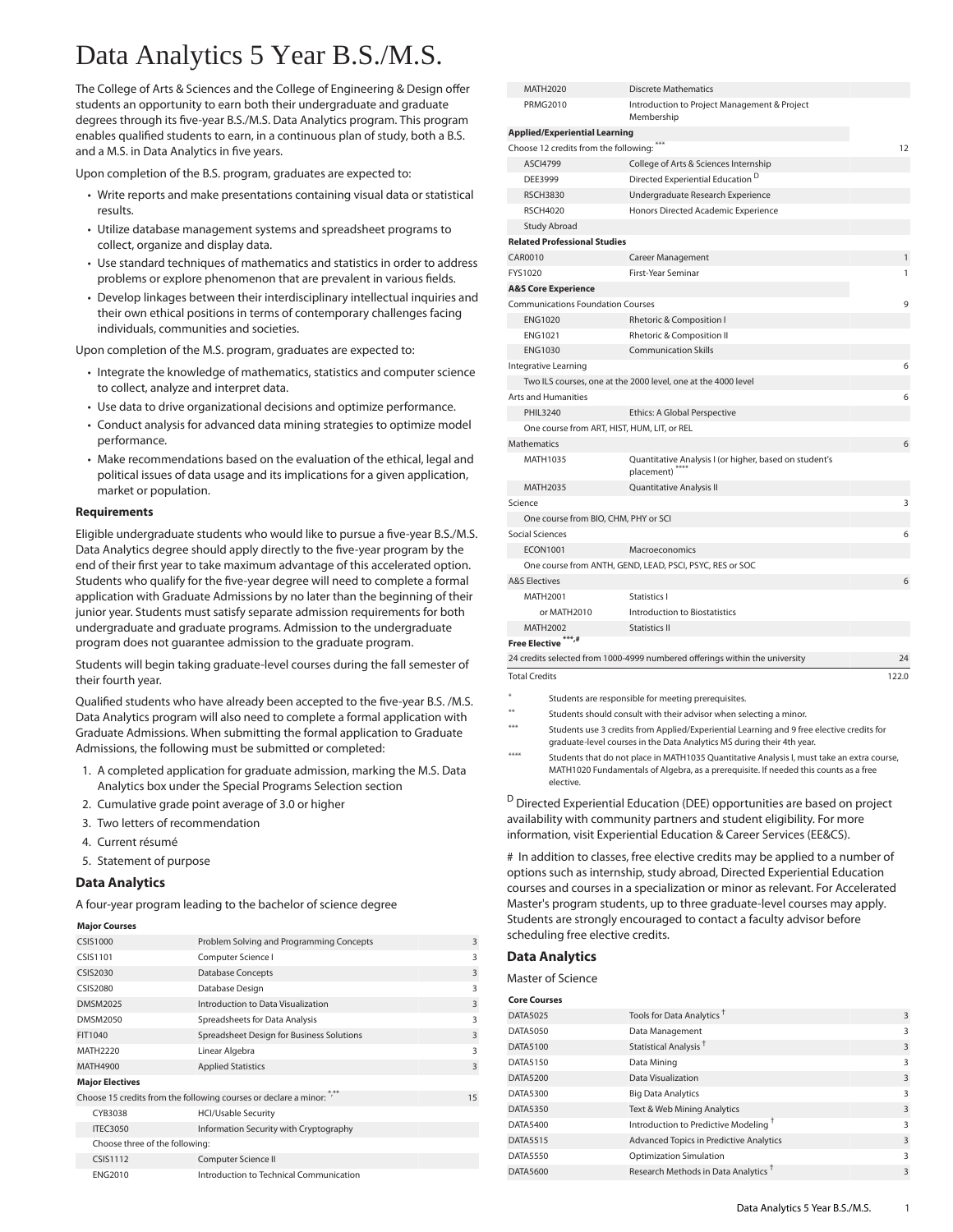# Data Analytics 5 Year B.S./M.S.

The College of Arts & Sciences and the College of Engineering & Design offer students an opportunity to earn both their undergraduate and graduate degrees through its five-year B.S./M.S. Data Analytics program. This program enables qualified students to earn, in a continuous plan of study, both a B.S. and a M.S. in Data Analytics in five years.

Upon completion of the B.S. program, graduates are expected to:

- Write reports and make presentations containing visual data or statistical results.
- Utilize database management systems and spreadsheet programs to collect, organize and display data.
- Use standard techniques of mathematics and statistics in order to address problems or explore phenomenon that are prevalent in various fields.
- Develop linkages between their interdisciplinary intellectual inquiries and their own ethical positions in terms of contemporary challenges facing individuals, communities and societies.

Upon completion of the M.S. program, graduates are expected to:

- Integrate the knowledge of mathematics, statistics and computer science to collect, analyze and interpret data.
- Use data to drive organizational decisions and optimize performance.
- Conduct analysis for advanced data mining strategies to optimize model performance.
- Make recommendations based on the evaluation of the ethical, legal and political issues of data usage and its implications for a given application, market or population.

#### **Requirements**

Eligible undergraduate students who would like to pursue a five-year B.S./M.S. Data Analytics degree should apply directly to the five-year program by the end of their first year to take maximum advantage of this accelerated option. Students who qualify for the five-year degree will need to complete a formal application with Graduate Admissions by no later than the beginning of their junior year. Students must satisfy separate admission requirements for both undergraduate and graduate programs. Admission to the undergraduate program does not guarantee admission to the graduate program.

Students will begin taking graduate-level courses during the fall semester of their fourth year.

Qualified students who have already been accepted to the five-year B.S. /M.S. Data Analytics program will also need to complete a formal application with Graduate Admissions. When submitting the formal application to Graduate Admissions, the following must be submitted or completed:

- 1. A completed application for graduate admission, marking the M.S. Data Analytics box under the Special Programs Selection section
- 2. Cumulative grade point average of 3.0 or higher
- 3. Two letters of recommendation
- 4. Current résumé
- 5. Statement of purpose

### **Data Analytics**

A four-year program leading to the bachelor of science degree

#### **Major Courses**

| <b>CSIS1000</b>                                                    | Problem Solving and Programming Concepts  | $\overline{3}$ |
|--------------------------------------------------------------------|-------------------------------------------|----------------|
| CSIS1101                                                           | Computer Science I                        | 3              |
| <b>CSIS2030</b>                                                    | <b>Database Concepts</b>                  | $\overline{3}$ |
| CSIS2080                                                           | Database Design                           | 3              |
| <b>DMSM2025</b>                                                    | Introduction to Data Visualization        | $\overline{3}$ |
| DMSM2050                                                           | Spreadsheets for Data Analysis            | 3              |
| FIT1040                                                            | Spreadsheet Design for Business Solutions | $\overline{3}$ |
| MATH2220                                                           | Linear Algebra                            | 3              |
| MATH4900                                                           | <b>Applied Statistics</b>                 | $\overline{3}$ |
| <b>Major Electives</b>                                             |                                           |                |
| Choose 15 credits from the following courses or declare a minor: " |                                           | 15             |
| CYB3038                                                            | <b>HCI/Usable Security</b>                |                |
| <b>ITEC3050</b>                                                    | Information Security with Cryptography    |                |
| Choose three of the following:                                     |                                           |                |
| <b>CSIS1112</b>                                                    | Computer Science II                       |                |
| <b>ENG2010</b>                                                     | Introduction to Technical Communication   |                |

| MATH2020                                    | <b>Discrete Mathematics</b>                                                       |              |
|---------------------------------------------|-----------------------------------------------------------------------------------|--------------|
| <b>PRMG2010</b>                             | Introduction to Project Management & Project<br>Membership                        |              |
| <b>Applied/Experiential Learning</b>        |                                                                                   |              |
| Choose 12 credits from the following: ***   |                                                                                   | 12           |
| <b>ASCI4799</b>                             | College of Arts & Sciences Internship                                             |              |
| DEE3999                                     | Directed Experiential Education <sup>D</sup>                                      |              |
| <b>RSCH3830</b>                             | Undergraduate Research Experience                                                 |              |
| <b>RSCH4020</b>                             | Honors Directed Academic Experience                                               |              |
| <b>Study Abroad</b>                         |                                                                                   |              |
| <b>Related Professional Studies</b>         |                                                                                   |              |
| CAR0010                                     | Career Management                                                                 | $\mathbf{1}$ |
| FYS1020                                     | First-Year Seminar                                                                | 1            |
| <b>A&amp;S Core Experience</b>              |                                                                                   |              |
| <b>Communications Foundation Courses</b>    |                                                                                   | 9            |
| <b>ENG1020</b>                              | Rhetoric & Composition I                                                          |              |
| <b>ENG1021</b>                              | Rhetoric & Composition II                                                         |              |
| <b>ENG1030</b>                              | <b>Communication Skills</b>                                                       |              |
| Integrative Learning                        |                                                                                   | 6            |
|                                             | Two ILS courses, one at the 2000 level, one at the 4000 level                     |              |
| <b>Arts and Humanities</b>                  |                                                                                   | 6            |
| <b>PHIL3240</b>                             | Ethics: A Global Perspective                                                      |              |
| One course from ART, HIST, HUM, LIT, or REL |                                                                                   |              |
| <b>Mathematics</b>                          |                                                                                   | 6            |
| MATH1035                                    | Quantitative Analysis I (or higher, based on student's<br>placement) <sup>*</sup> |              |
| <b>MATH2035</b>                             | Quantitative Analysis II                                                          |              |
| Science                                     |                                                                                   | 3            |
| One course from BIO, CHM, PHY or SCI        |                                                                                   |              |
| Social Sciences                             |                                                                                   | 6            |
| <b>ECON1001</b>                             | Macroeconomics                                                                    |              |
|                                             | One course from ANTH, GEND, LEAD, PSCI, PSYC, RES or SOC                          |              |
| <b>A&amp;S Electives</b>                    |                                                                                   | 6            |
| MATH2001                                    | Statistics I                                                                      |              |
| or MATH2010                                 | Introduction to Biostatistics                                                     |              |
| <b>MATH2002</b>                             | <b>Statistics II</b>                                                              |              |
| Free Elective ***,#                         |                                                                                   |              |
|                                             | 24 credits selected from 1000-4999 numbered offerings within the university       | 24           |
| <b>Total Credits</b>                        |                                                                                   | 122.0        |

- Students are responsible for meeting prerequisites
- Students should consult with their advisor when selecting a minor.
- Students use 3 credits from Applied/Experiential Learning and 9 free elective credits for graduate-level courses in the Data Analytics MS during their 4th year.
- \*\*\*\* Students that do not place in MATH1035 Quantitative Analysis I, must take an extra course, MATH1020 Fundamentals of Algebra, as a prerequisite. If needed this counts as a free elective.

 $D$  Directed Experiential Education (DEE) opportunities are based on project availability with community partners and student eligibility. For more information, visit Experiential Education & Career Services (EE&CS).

# In addition to classes, free elective credits may be applied to a number of options such as internship, study abroad, Directed Experiential Education courses and courses in a specialization or minor as relevant. For Accelerated Master's program students, up to three graduate-level courses may apply. Students are strongly encouraged to contact a faculty advisor before scheduling free elective credits.

## **Data Analytics**

Master of Science

| Core Courses |  |
|--------------|--|

| Core Courses    |                                                  |   |
|-----------------|--------------------------------------------------|---|
| <b>DATA5025</b> | Tools for Data Analytics <sup>T</sup>            | 3 |
| <b>DATA5050</b> | Data Management                                  | 3 |
| <b>DATA5100</b> | Statistical Analysis <sup>+</sup>                | 3 |
| <b>DATA5150</b> | Data Mining                                      | 3 |
| <b>DATA5200</b> | Data Visualization                               | 3 |
| <b>DATA5300</b> | <b>Big Data Analytics</b>                        | 3 |
| <b>DATA5350</b> | Text & Web Mining Analytics                      | 3 |
| <b>DATA5400</b> | Introduction to Predictive Modeling <sup>T</sup> | 3 |
| <b>DATA5515</b> | Advanced Topics in Predictive Analytics          | 3 |
| <b>DATA5550</b> | <b>Optimization Simulation</b>                   | 3 |
| <b>DATA5600</b> | Research Methods in Data Analytics <sup>T</sup>  | 3 |